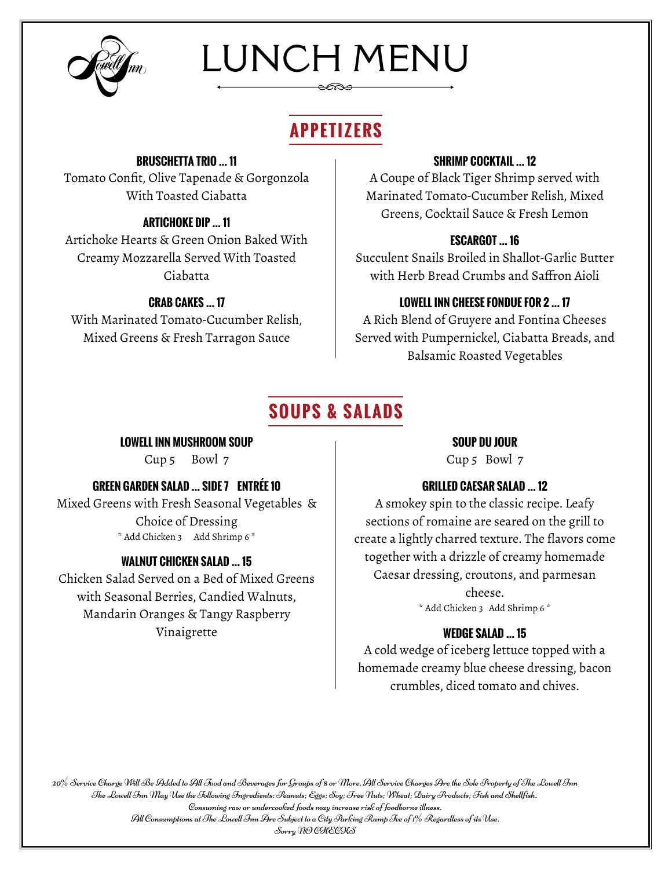

# LUNCH MENU

## **APPETIZERS**

#### **BRUSCHETTA TRIO … 11**

Tomato Confit, Olive Tapenade & Gorgonzola With Toasted Ciabatta

Artichoke Hearts & Green Onion Baked With Creamy Mozzarella Served With Toasted Ciabatta

#### **CRAB CAKES … 17**

With Marinated Tomato-Cucumber Relish, Mixed Greens & Fresh Tarragon Sauce

#### **SHRIMP COCKTAIL … 12**

A Coupe of Black Tiger Shrimp served with Marinated Tomato-Cucumber Relish, Mixed Greens, Cocktail Sauce & Fresh Lemon **ARTICHOKE DIP … 11**

#### **ESCARGOT … 16**

Succulent Snails Broiled in Shallot-Garlic Butter with Herb Bread Crumbs and Saffron Aioli

#### **LOWELL INN CHEESE FONDUE FOR 2 … 17**

A Rich Blend of Gruyere and Fontina Cheeses Served with Pumpernickel, Ciabatta Breads, and Balsamic Roasted Vegetables

### **SOUPS & SALADS**

**LOWELL INN MUSHROOM SOUP**

Cup 5 Bowl 7

#### **GREEN GARDEN SALAD … SIDE 7 ENTRÉE 10**

Mixed Greens with Fresh Seasonal Vegetables & Choice of Dressing \* Add Chicken 3 Add Shrimp 6 \*

#### **WALNUT CHICKEN SALAD … 15**

Chicken Salad Served on a Bed of Mixed Greens with Seasonal Berries, Candied Walnuts, Mandarin Oranges & Tangy Raspberry Vinaigrette **WEDGE SALAD … 15**

#### **SOUP DU JOUR**

Cup 5 Bowl 7

#### **GRILLED CAESAR SALAD … 12**

A smokey spin to the classic recipe. Leafy sections of romaine are seared on the grill to create a lightly charred texture. The flavors come together with a drizzle of creamy homemade Caesar dressing, croutons, and parmesan cheese.

\* Add Chicken 3 Add Shrimp 6 \*

A cold wedge of iceberg lettuce topped with a homemade creamy blue cheese dressing, bacon crumbles, diced tomato and chives.

20% Service Charge Will Be Added to All Food and Beverages for Groups of 8 or More. All Service Charges Are the Sole Property of The Lowell Inn The Lowell Inn May Use the Following Ingredients: Peanuts; Eggs; Soy; Tree Nuts; Wheat; Dairy Products; Fish and Shellfish. Consuming raw or undercooked foods may increase risk of foodborne illness. All Consumptions at The Lowell Inn Are Subject to a City Parking Ramp Fee of  $1\%$  Regardless of its Use.

Sorry NO CHECKS